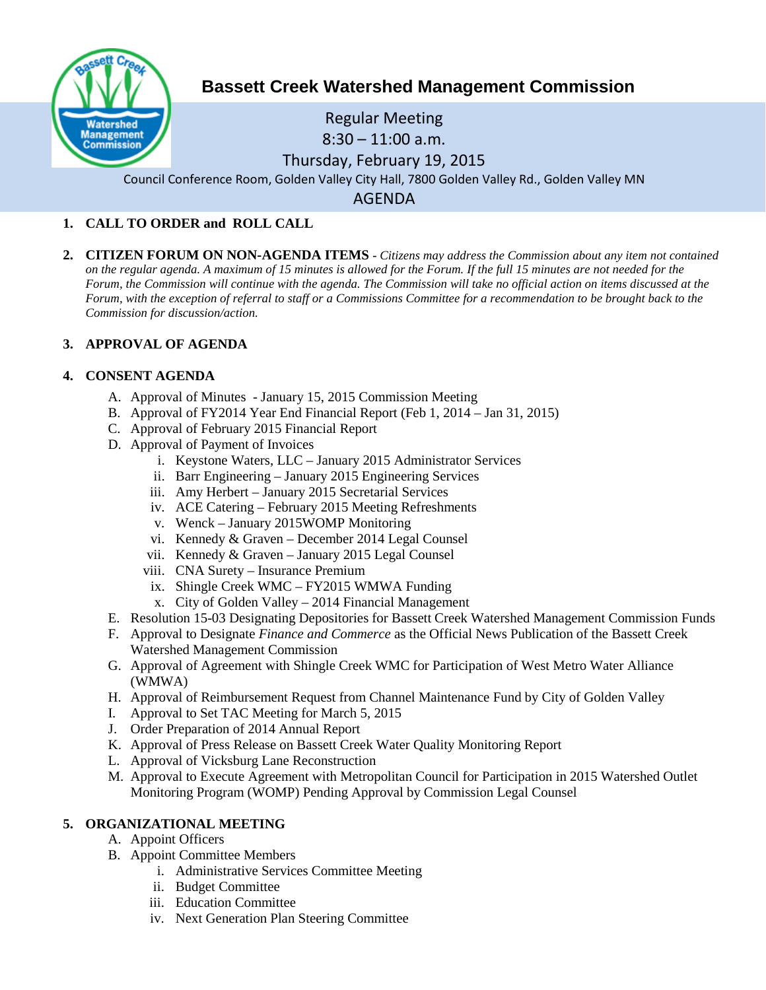

# **Bassett Creek Watershed Management Commission**

## Regular Meeting  $8:30 - 11:00$  a.m. Thursday, February 19, 2015 Council Conference Room, Golden Valley City Hall, 7800 Golden Valley Rd., Golden Valley MN

AGENDA

## **1. CALL TO ORDER and ROLL CALL**

**2. CITIZEN FORUM ON NON-AGENDA ITEMS -** *Citizens may address the Commission about any item not contained on the regular agenda. A maximum of 15 minutes is allowed for the Forum. If the full 15 minutes are not needed for the Forum, the Commission will continue with the agenda. The Commission will take no official action on items discussed at the Forum, with the exception of referral to staff or a Commissions Committee for a recommendation to be brought back to the Commission for discussion/action.*

## **3. APPROVAL OF AGENDA**

## **4. CONSENT AGENDA**

- A. Approval of Minutes January 15, 2015 Commission Meeting
- B. Approval of FY2014 Year End Financial Report (Feb 1, 2014 Jan 31, 2015)
- C. Approval of February 2015 Financial Report
- D. Approval of Payment of Invoices
	- i. Keystone Waters, LLC January 2015 Administrator Services
	- ii. Barr Engineering January 2015 Engineering Services
	- iii. Amy Herbert January 2015 Secretarial Services
	- iv. ACE Catering February 2015 Meeting Refreshments
	- v. Wenck January 2015WOMP Monitoring
	- vi. Kennedy & Graven December 2014 Legal Counsel
	- vii. Kennedy & Graven January 2015 Legal Counsel
	- viii. CNA Surety Insurance Premium
	- ix. Shingle Creek WMC FY2015 WMWA Funding
	- x. City of Golden Valley 2014 Financial Management
- E. Resolution 15-03 Designating Depositories for Bassett Creek Watershed Management Commission Funds
- F. Approval to Designate *Finance and Commerce* as the Official News Publication of the Bassett Creek Watershed Management Commission
- G. Approval of Agreement with Shingle Creek WMC for Participation of West Metro Water Alliance (WMWA)
- H. Approval of Reimbursement Request from Channel Maintenance Fund by City of Golden Valley
- I. Approval to Set TAC Meeting for March 5, 2015
- J. Order Preparation of 2014 Annual Report
- K. Approval of Press Release on Bassett Creek Water Quality Monitoring Report
- L. Approval of Vicksburg Lane Reconstruction
- M. Approval to Execute Agreement with Metropolitan Council for Participation in 2015 Watershed Outlet Monitoring Program (WOMP) Pending Approval by Commission Legal Counsel

## **5. ORGANIZATIONAL MEETING**

- A. Appoint Officers
- B. Appoint Committee Members
	- i. Administrative Services Committee Meeting
	- ii. Budget Committee
	- iii. Education Committee
	- iv. Next Generation Plan Steering Committee